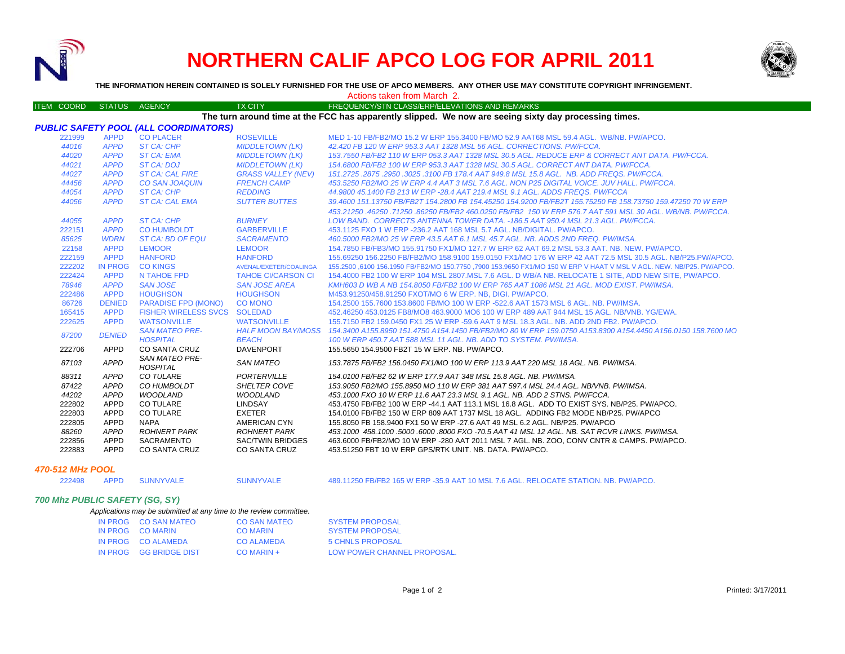

# **NORTHERN CALIF APCO LOG FOR APRIL 2011**



#### ITEM COORD STATUS AGENCY TX CITY TIREQUENCY/STN CLASS/ERP/ELEVATIONS AND REMARKS *PUBLIC SAFETY POOL (ALL COORDINATORS)* 221999 APPD CO PLACER ROSEVILLE MED 1-10 FB/FB2/MO 15.2 W ERP 155.3400 FB/MO 52.9 AAT68 MSL 59.4 AGL. WB/NB. PW/APCO.*44016 APPD ST CA: CHP MIDDLETOWN (LK) 42.420 FB 120 W ERP 953.3 AAT 1328 MSL 56 AGL. CORRECTIONS. PW/FCCA. 44020 APPD ST CA: EMA MIDDLETOWN (LK) 153.7550 FB/FB2 110 W ERP 053.3 AAT 1328 MSL 30.5 AGL. REDUCE ERP & CORRECT ANT DATA. PW/FCCA. 44021 APPD ST CA: DOJ MIDDLETOWN (LK) 154.6800 FB/FB2 100 W ERP 953.3 AAT 1328 MSL 30.5 AGL. CORRECT ANT DATA. PW/FCCA. 44027 APPD ST CA: CAL FIRE GRASS VALLEY (NEV) 151.2725 .2875 .2950 .3025 .3100 FB 178.4 AAT 949.8 MSL 15.8 AGL. NB. ADD FREQS. PW/FCCA. 44456 APPD CO SAN JOAQUIN FRENCH CAMP 453.5250 FB2/MO 25 W ERP 4.4 AAT 3 MSL 7.6 AGL. NON P25 DIGITAL VOICE. JUV HALL. PW/FCCA. 44054 APPD ST CA: CHP REDDING 44.9800 45.1400 FB 213 W ERP -28.4 AAT 219.4 MSL 9.1 AGL. ADDS FREQS. PW/FCCA 44056 APPD ST CA: CAL EMA SUTTER BUTTES 39.4600 151.13750 FB/FB2T 154.2800 FB 154.45250 154.9200 FB/FB2T 155.75250 FB 158.73750 159.47250 70 W ERP 453.21250 .46250 .71250 .86250 FB/FB2 460.0250 FB/FB2 150 W ERP 576.7 AAT 591 MSL 30 AGL. WB/NB. PW/FCCA. 44055 APPD ST CA: CHP BURNEY LOW BAND. CORRECTS ANTENNA TOWER DATA. -186.5 AAT 950.4 MSL 21.3 AGL. PW/FCCA.* 222151 *APPD* CO HUMBOLDT GARBERVILLE 453.1125 FXO 1 W ERP -236.2 AAT 168 MSL 5.7 AGL. NB/DIGITAL. PW/APCO. *85625 WDRN ST CA: BD OF EQU SACRAMENTO 460.5000 FB2/MO 25 W ERP 43.5 AAT 6.1 MSL 45.7 AGL. NB. ADDS 2ND FREQ. PW/IMSA.* 22158 APPD LEMOOR LEMOOR 154.7850 FB/FB3/MO 155.91750 FX1/MO 127.7 W ERP 62 AAT 69.2 MSL 53.3 AAT. NB. NEW. PW/APCO.222159 APPD HANFORD HANFORD 155.69250 156.2250 FB/FB2/MO 158.9100 159.0150 FX1/MO 176 W ERP 42 AAT 72.5 MSL 30.5 AGL. NB/P25.PW/APCO.222202 IN PROG CO KINGS AVENAL/EXETER/COALINGA 155.2500 ,6100 156.1950 FB/FB2/MO 150.7750 ,7900 153.9650 FX1/MO 150 W ERP V HAAT V MSL V AGL. NEW. NB/P25. PW/APCO. 222424 APPD N TAHOE FPD TAHOE CI/CARSON CI 154.4000 FB2 100 W ERP 104 MSL 2807.MSL 7.6 AGL. D WB/A NB. RELOCATE 1 SITE, ADD NEW SITE, PW/APCO. *78946 APPD SAN JOSE SAN JOSE AREA KMH603 D WB A NB 154.8050 FB/FB2 100 W ERP 765 AAT 1086 MSL 21 AGL. MOD EXIST. PW/IMSA.*222486 APPD HOUGHSON HOUGHSON M453.91250/458.91250 FXOT/MO 6 W ERP. NB, DIGI. PW/APCO. 86726 DENIED PARADISE FPD (MONO) CO MONO 154.2500 155.7600 153.8600 FB/MO 100 W ERP -522.6 AAT 1573 MSL 6 AGL. NB. PW/IMSA. 165415 APPD FISHER WIRELESS SVCS SOLEDAD 452.46250 453.0125 FB8/MO8 463.9000 MO6 100 W ERP 489 AAT 944 MSL 15 AGL. NB/VNB. YG/EWA. 222625 APPD WATSONVILLE WATSONVILLE 155.7150 FB2 159.0450 FX1 25 W ERP -59.6 AAT 9 MSL 18.3 AGL. NB. ADD 2ND FB2. PW/APCO.*87200 DENIED SAN MATEO PRE- HOSPITAL HALF MOON BAY/MOSS BEACH 154.3400 A155.8950 151.4750 A154.1450 FB/FB2/MO 80 W ERP 159.0750 A153.8300 A154.4450 A156.0150 158.7600 MO 100 W ERP 450.7 AAT 588 MSL 11 AGL. NB. ADD TO SYSTEM. PW/IMSA.* 222706 APPD CO SANTA CRUZ DAVENPORT 155.5650 154.9500 FB2T 15 W ERP. NB. PW/APCO.*87103 APPD SAN MATEO PRE- HOSPITAL SAN MATEO 153.7875 FB/FB2 156.0450 FX1/MO 100 W ERP 113.9 AAT 220 MSL 18 AGL. NB. PW/IMSA. 88311 APPD CO TULARE PORTERVILLE 154.0100 FB/FB2 62 W ERP 177.9 AAT 348 MSL 15.8 AGL. NB. PW/IMSA.87422 APPD CO HUMBOLDT SHELTER COVE 153.9050 FB2/MO 155.8950 MO 110 W ERP 381 AAT 597.4 MSL 24.4 AGL. NB/VNB. PW/IMSA. 44202 APPD WOODLAND WOODLAND 453.1000 FXO 10 W ERP 11.6 AAT 23.3 MSL 9.1 AGL. NB. ADD 2 STNS. PW/FCCA.*222802 APPD CO TULARE LINDSAY 453.4750 FB/FB2 100 W ERP -44.1 AAT 113.1 MSL 16.8 AGL. ADD TO EXIST SYS. NB/P25. PW/APCO. 222803 APPD CO TULARE EXETER 154.0100 FB/FB2 150 W ERP 809 AAT 1737 MSL 18 AGL. ADDING FB2 MODE NB/P25. PW/APCO 222805 APPD NAPA AMERICAN CYN 155.8050 FB 158.9400 FX1 50 W ERP -27.6 AAT 49 MSL 6.2 AGL. NB/P25. PW/APCO *88260 APPD ROHNERT PARK ROHNERT PARK 453.1000 458.1000 .5000 .6000 .8000 FXO -70.5 AAT 41 MSL 12 AGL. NB. SAT RCVR LINKS. PW/IMSA.*222856 APPD SACRAMENTO SAC/TWIN BRIDGES 463.6000 FB/FB2/MO 10 W ERP -280 AAT 2011 MSL 7 AGL. NB. ZOO, CONV CNTR & CAMPS. PW/APCO.<br>222883 APPD CO SANTA CRUZ CO SANTA CRUZ 453.51250 FBT 10 W ERP GPS/RTK UNIT. NB. DATA. PW/AP 453.51250 FBT 10 W ERP GPS/RTK UNIT. NB. DATA. PW/APCO. Actions taken from March 2. **THE INFORMATION HEREIN CONTAINED IS SOLELY FURNISHED FOR THE USE OF APCO MEMBERS. ANY OTHER USE MAY CONSTITUTE COPYRIGHT INFRINGEMENT.The turn around time at the FCC has apparently slipped. We now are seeing sixty day processing times.**

### *470-512 MHz POOL*

222498 APPD SUNNYVALE SUNNYVALE 489.11250 FB/FB2 165 W ERP -35.9 AAT 10 MSL 7.6 AGL. RELOCATE STATION. NB. PW/APCO.

# *700 Mhz PUBLIC SAFETY (SG, SY)*

#### *Applications may be submitted at any time to the review committee.*

| IN PROG CO SAN MATEO   | CO SAN MATEO      | <b>SYSTEM PROPOSAL</b>      |
|------------------------|-------------------|-----------------------------|
| IN PROG CO MARIN       | <b>CO MARIN</b>   | <b>SYSTEM PROPOSAL</b>      |
| IN PROG CO ALAMEDA     | <b>CO ALAMEDA</b> | 5 CHNLS PROPOSAL            |
| IN PROG GG BRIDGE DIST | $CO$ MARIN +      | LOW POWER CHANNEL PROPOSAL. |